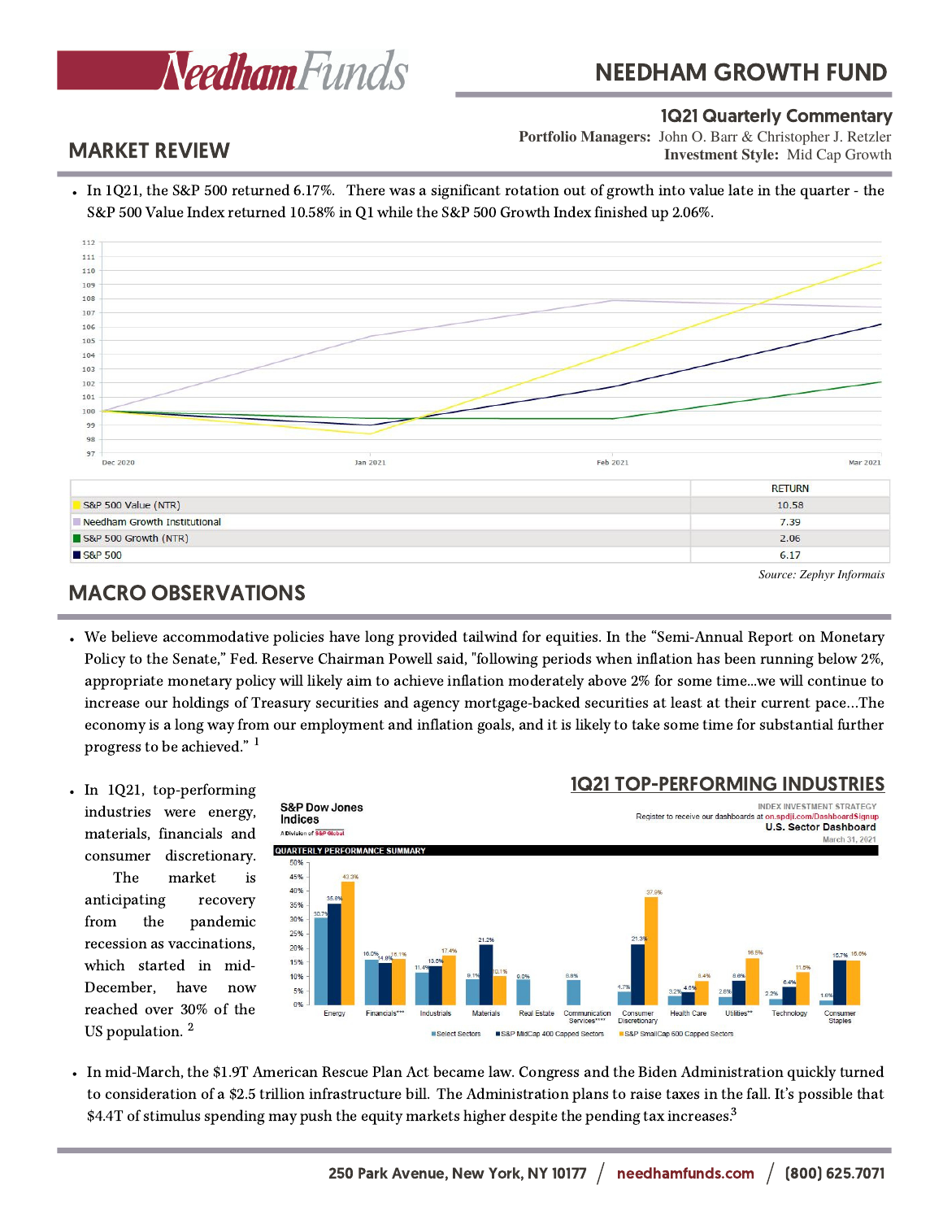

# NEEDHAM GROWTH FUND

#### 1Q21 Quarterly Commentary

**Investment Style:** Mid Cap Growth **Portfolio Managers:** John O. Barr & Christopher J. Retzler

### MARKET REVIEW

In 1Q21, the S&P 500 returned 6.17%. There was a significant rotation out of growth into value late in the quarter - the S&P 500 Value Index returned 10.58% in Q1 while the S&P 500 Growth Index finished up 2.06%.



# MACRO OBSERVATIONS

- We believe accommodative policies have long provided tailwind for equities. In the "Semi-Annual Report on Monetary Policy to the Senate," Fed. Reserve Chairman Powell said, "following periods when inflation has been running below 2%, appropriate monetary policy will likely aim to achieve inflation moderately above 2% for some time...we will continue to increase our holdings of Treasury securities and agency mortgage-backed securities at least at their current pace…The economy is a long way from our employment and inflation goals, and it is likely to take some time for substantial further progress to be achieved." 1
- In 1Q21, top-performing industries were energy, materials, financials and consumer discretionary.

The market is anticipating recovery from the pandemic recession as vaccinations, which started in mid-December, have now reached over 30% of the US population.  $2$ 



\$4.4T of stimulus spending may push the equity markets higher despite the pending tax increases.<sup>3</sup> In mid-March, the \$1.9T American Rescue Plan Act became law. Congress and the Biden Administration quickly turned to consideration of a \$2.5 trillion infrastructure bill. The Administration plans to raise taxes in the fall. It's possible that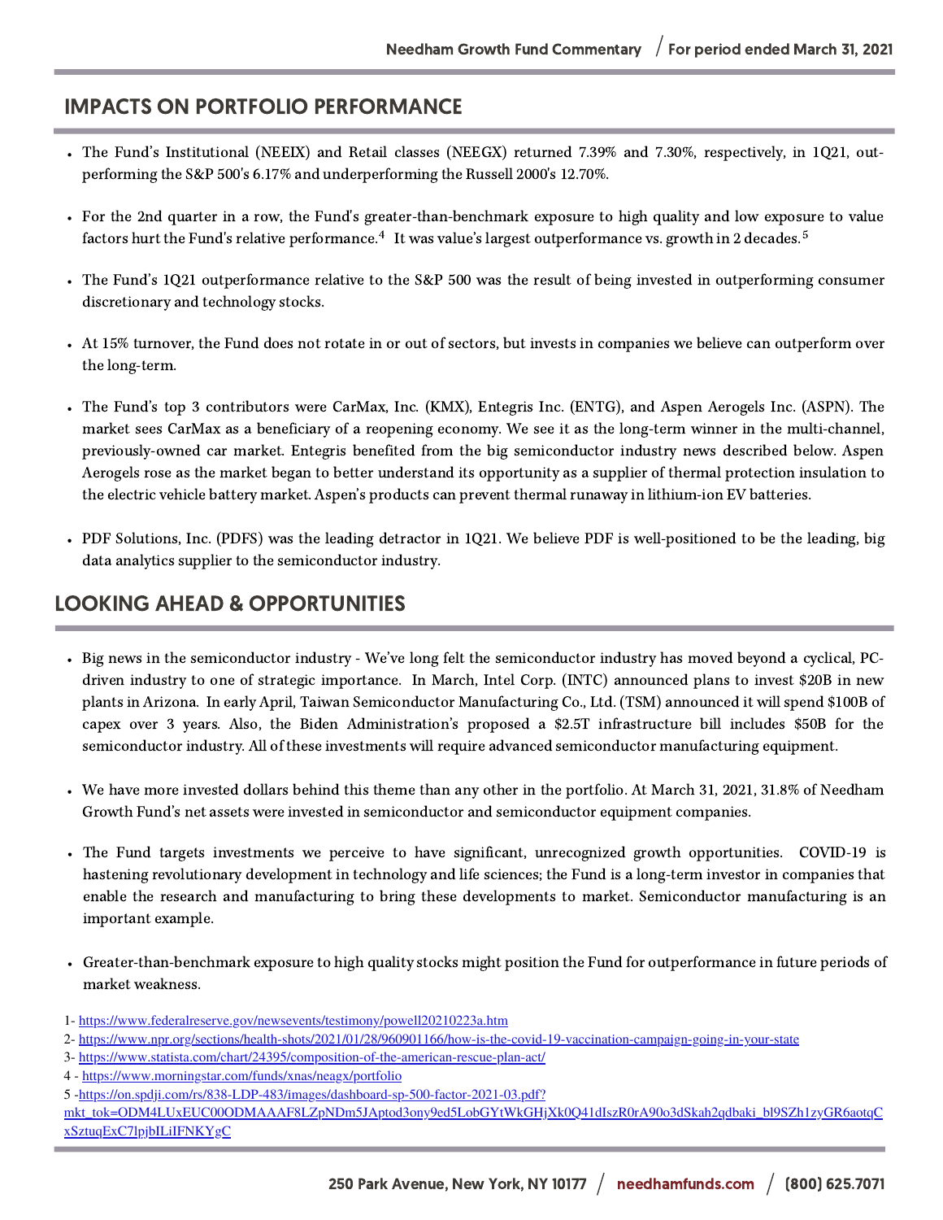### IMPACTS ON PORTFOLIO PERFORMANCE

- The Fund's Institutional (NEEIX) and Retail classes (NEEGX) returned 7.39% and 7.30%, respectively, in 1Q21, outperforming the S&P 500's 6.17% and underperforming the Russell 2000's 12.70%.
- For the 2nd quarter in a row, the Fund's greater-than-benchmark exposure to high quality and low exposure to value factors hurt the Fund's relative performance.<sup>4</sup> It was value's largest outperformance vs. growth in 2 decades.<sup>5</sup>
- The Fund's 1Q21 outperformance relative to the S&P 500 was the result of being invested in outperforming consumer discretionary and technology stocks.
- At 15% turnover, the Fund does not rotate in or out of sectors, but invests in companies we believe can outperform over the long-term.
- The Fund's top 3 contributors were CarMax, Inc. (KMX), Entegris Inc. (ENTG), and Aspen Aerogels Inc. (ASPN). The market sees CarMax as a beneficiary of a reopening economy. We see it as the long-term winner in the multi-channel, previously-owned car market. Entegris benefited from the big semiconductor industry news described below. Aspen Aerogels rose as the market began to better understand its opportunity as a supplier of thermal protection insulation to the electric vehicle battery market. Aspen's products can prevent thermal runaway in lithium-ion EV batteries.
- PDF Solutions, Inc. (PDFS) was the leading detractor in 1Q21. We believe PDF is well-positioned to be the leading, big data analytics supplier to the semiconductor industry.

# LOOKING AHEAD & OPPORTUNITIES

- Big news in the semiconductor industry We've long felt the semiconductor industry has moved beyond a cyclical, PCdriven industry to one of strategic importance. In March, Intel Corp. (INTC) announced plans to invest \$20B in new plants in Arizona. In early April, Taiwan Semiconductor Manufacturing Co., Ltd. (TSM) announced it will spend \$100B of capex over 3 years. Also, the Biden Administration's proposed a \$2.5T infrastructure bill includes \$50B for the semiconductor industry. All of these investments will require advanced semiconductor manufacturing equipment.
- We have more invested dollars behind this theme than any other in the portfolio. At March 31, 2021, 31.8% of Needham Growth Fund's net assets were invested in semiconductor and semiconductor equipment companies.
- The Fund targets investments we perceive to have significant, unrecognized growth opportunities. COVID-19 is hastening revolutionary development in technology and life sciences; the Fund is a long-term investor in companies that enable the research and manufacturing to bring these developments to market. Semiconductor manufacturing is an important example.
- Greater-than-benchmark exposure to high quality stocks might position the Fund for outperformance in future periods of market weakness.
- 1- <https://www.federalreserve.gov/newsevents/testimony/powell20210223a.htm>
- 2- <https://www.npr.org/sections/health-shots/2021/01/28/960901166/how-is-the-covid-19-vaccination-campaign-going-in-your-state>
- 3- <https://www.statista.com/chart/24395/composition-of-the-american-rescue-plan-act/>
- 4 <https://www.morningstar.com/funds/xnas/neagx/portfolio>
- 5 -https://on.spdji.com/rs/838-LDP-483/images/dashboard-sp-500-factor-2021-03.pdf?

[mkt\\_tok=ODM4LUxEUC00ODMAAAF8LZpNDm5JAptod3ony9ed5LobGYtWkGHjXk0Q41dIszR0rA90o3dSkah2qdbaki\\_bl9SZh1zyGR6aotqC](https://on.spdji.com/rs/838-LDP-483/images/dashboard-sp-500-factor-2021-03.pdf?mkt_tok=ODM4LUxEUC00ODMAAAF8LZpNDm5JAptod3ony9ed5LobGYtWkGHjXk0Q41dIszR0rA90o3dSkah2qdbaki_bl9SZh1zyGR6aotqCxSztuqExC7lpjbILiIFNKYgC) xSztuqExC7lpjbILiIFNKYgC